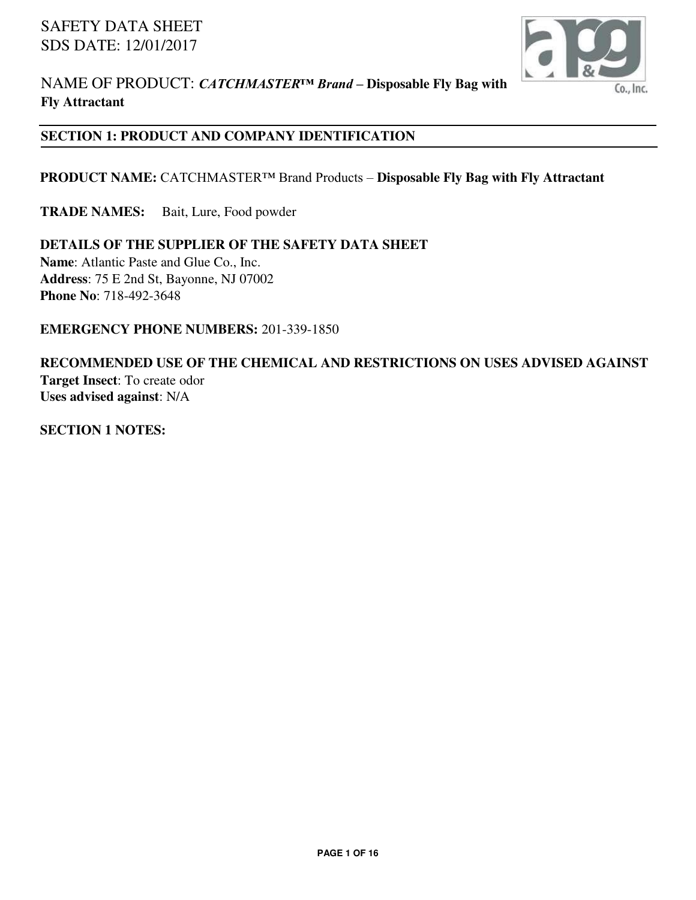

## **SECTION 1: PRODUCT AND COMPANY IDENTIFICATION**

#### **PRODUCT NAME:** CATCHMASTER™ Brand Products – **Disposable Fly Bag with Fly Attractant**

**TRADE NAMES:** Bait, Lure, Food powder

# **DETAILS OF THE SUPPLIER OF THE SAFETY DATA SHEET**

**Name**: Atlantic Paste and Glue Co., Inc. **Address**: 75 E 2nd St, Bayonne, NJ 07002 **Phone No**: 718-492-3648

#### **EMERGENCY PHONE NUMBERS:** 201-339-1850

## **RECOMMENDED USE OF THE CHEMICAL AND RESTRICTIONS ON USES ADVISED AGAINST Target Insect**: To create odor **Uses advised against**: N/A

**SECTION 1 NOTES:**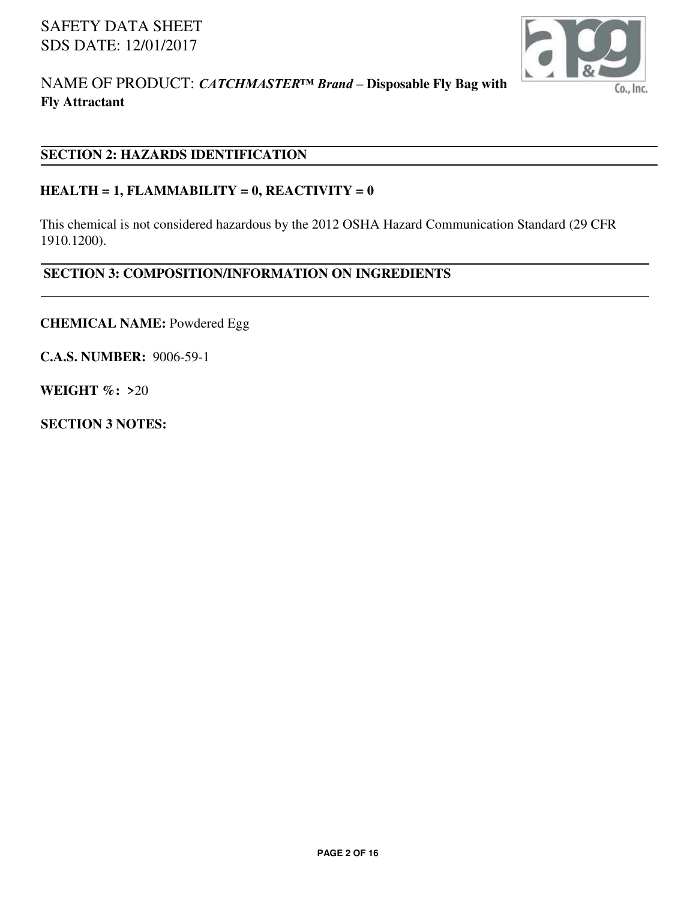

# NAME OF PRODUCT: *CATCHMASTER™ Brand –* **Disposable Fly Bag with Fly Attractant**

## **SECTION 2: HAZARDS IDENTIFICATION**

#### **HEALTH = 1, FLAMMABILITY = 0, REACTIVITY = 0**

This chemical is not considered hazardous by the 2012 OSHA Hazard Communication Standard (29 CFR 1910.1200).

#### **SECTION 3: COMPOSITION/INFORMATION ON INGREDIENTS**

**CHEMICAL NAME:** Powdered Egg

**C.A.S. NUMBER:** 9006-59-1

**WEIGHT %: >**20

**SECTION 3 NOTES:**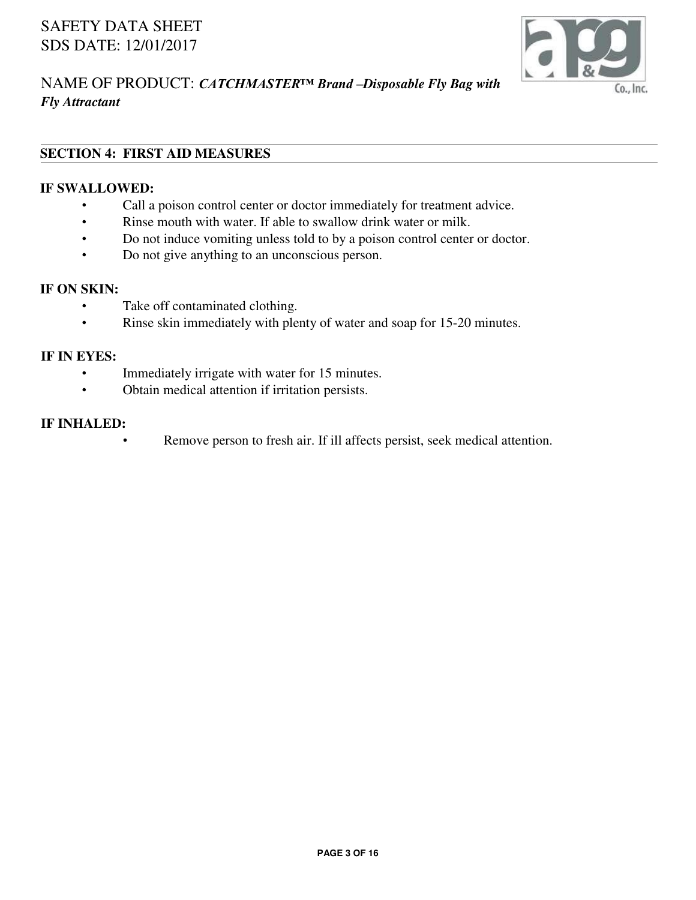

# NAME OF PRODUCT: *CATCHMASTER™ Brand –Disposable Fly Bag with Fly Attractant*

# **SECTION 4: FIRST AID MEASURES**

#### **IF SWALLOWED:**

- Call a poison control center or doctor immediately for treatment advice.
- Rinse mouth with water. If able to swallow drink water or milk.
- Do not induce vomiting unless told to by a poison control center or doctor.
- Do not give anything to an unconscious person.

## **IF ON SKIN:**

- Take off contaminated clothing.
- Rinse skin immediately with plenty of water and soap for 15-20 minutes.

#### **IF IN EYES:**

- Immediately irrigate with water for 15 minutes.
- Obtain medical attention if irritation persists.

#### **IF INHALED:**

Remove person to fresh air. If ill affects persist, seek medical attention.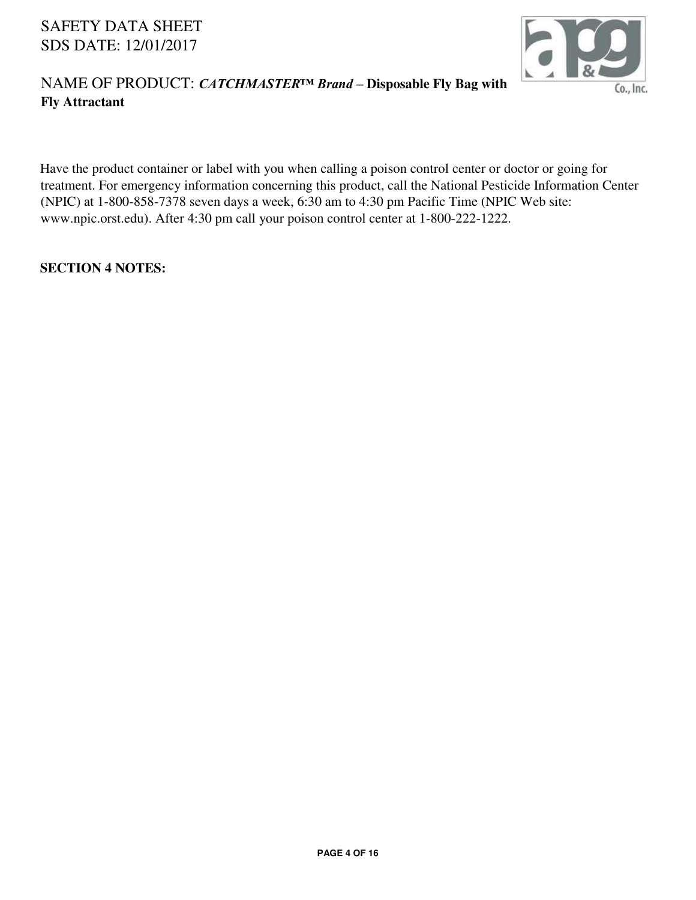

# NAME OF PRODUCT: *CATCHMASTER™ Brand –* **Disposable Fly Bag with Fly Attractant**

Have the product container or label with you when calling a poison control center or doctor or going for treatment. For emergency information concerning this product, call the National Pesticide Information Center (NPIC) at 1-800-858-7378 seven days a week, 6:30 am to 4:30 pm Pacific Time (NPIC Web site: www.npic.orst.edu). After 4:30 pm call your poison control center at 1-800-222-1222.

#### **SECTION 4 NOTES:**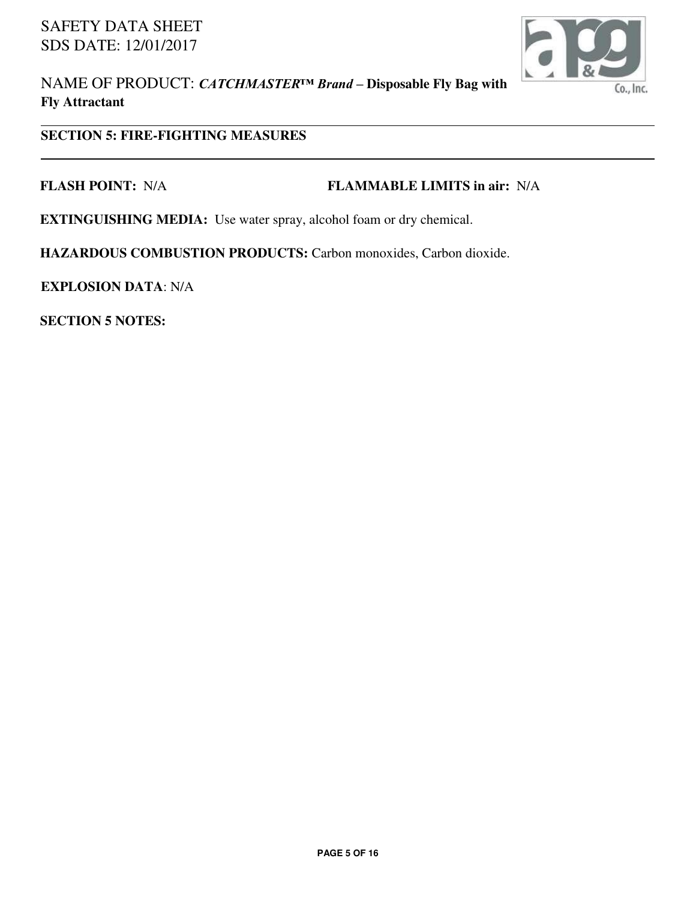

NAME OF PRODUCT: *CATCHMASTER™ Brand –* **Disposable Fly Bag with Fly Attractant**

## **SECTION 5: FIRE-FIGHTING MEASURES**

#### **FLASH POINT:** N/A **FLAMMABLE LIMITS in air:** N/A

**EXTINGUISHING MEDIA:** Use water spray, alcohol foam or dry chemical.

**HAZARDOUS COMBUSTION PRODUCTS:** Carbon monoxides, Carbon dioxide.

**EXPLOSION DATA**: N/A

**SECTION 5 NOTES:**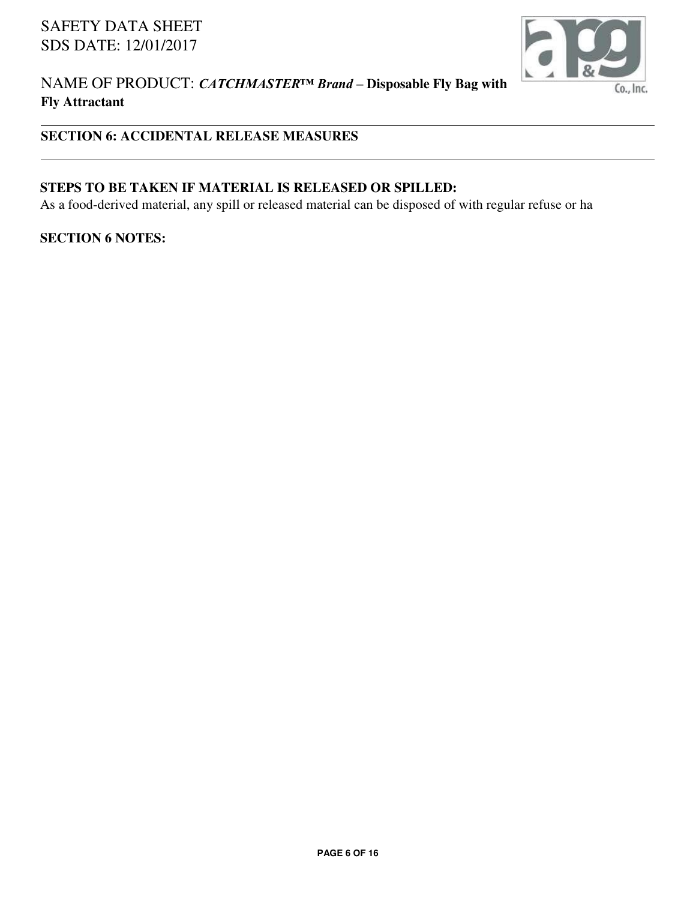

## NAME OF PRODUCT: *CATCHMASTER™ Brand –* **Disposable Fly Bag with Fly Attractant**

# **SECTION 6: ACCIDENTAL RELEASE MEASURES**

## **STEPS TO BE TAKEN IF MATERIAL IS RELEASED OR SPILLED:**

As a food-derived material, any spill or released material can be disposed of with regular refuse or ha

#### **SECTION 6 NOTES:**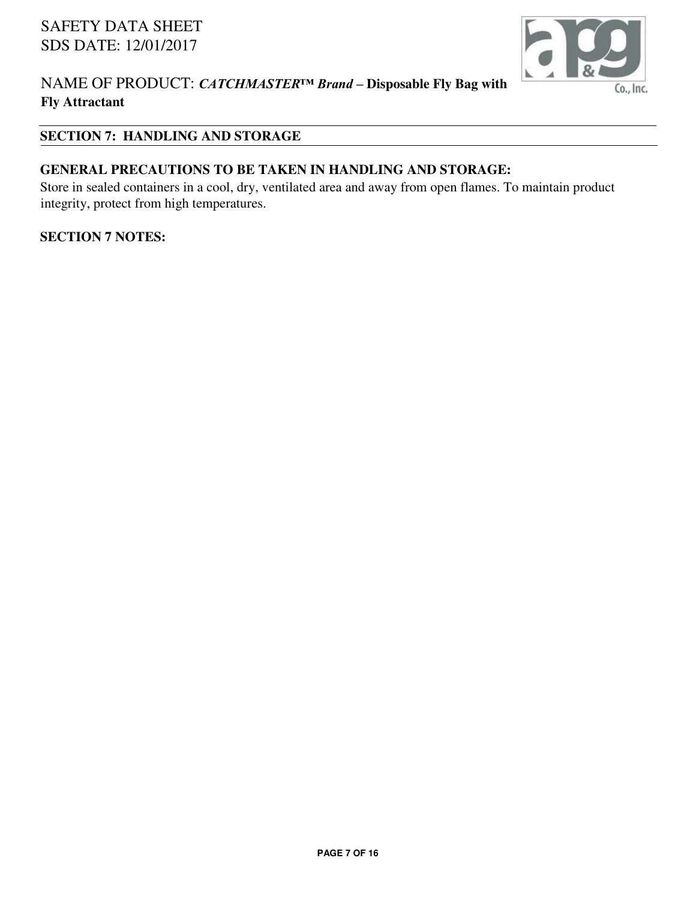

## NAME OF PRODUCT: *CATCHMASTER™ Brand –* **Disposable Fly Bag with Fly Attractant**

## **SECTION 7: HANDLING AND STORAGE**

## **GENERAL PRECAUTIONS TO BE TAKEN IN HANDLING AND STORAGE:**

Store in sealed containers in a cool, dry, ventilated area and away from open flames. To maintain product integrity, protect from high temperatures.

#### **SECTION 7 NOTES:**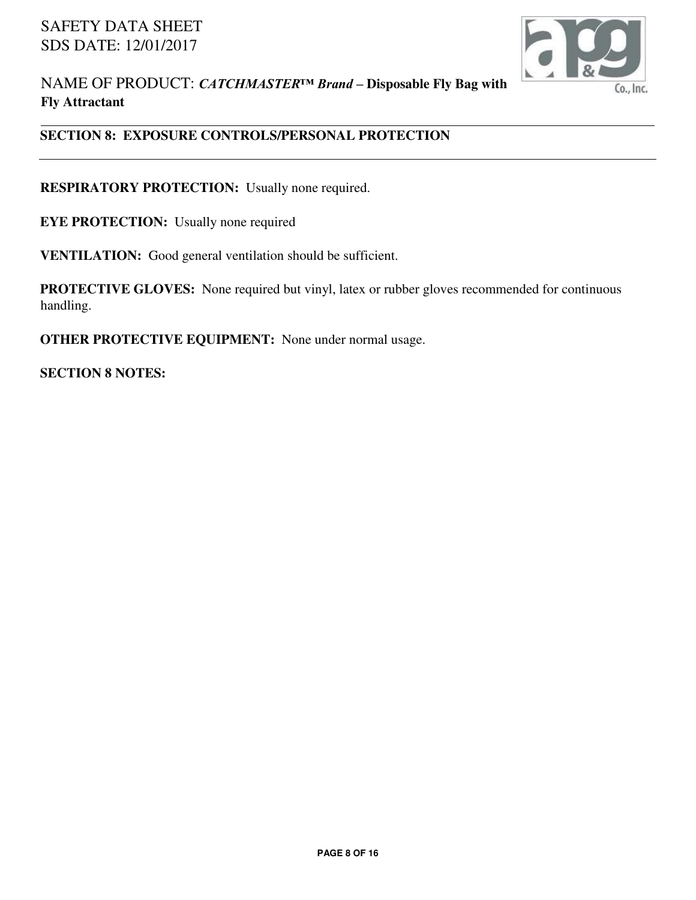

## **SECTION 8: EXPOSURE CONTROLS/PERSONAL PROTECTION**

**RESPIRATORY PROTECTION:** Usually none required.

**EYE PROTECTION:** Usually none required

**VENTILATION:** Good general ventilation should be sufficient.

**PROTECTIVE GLOVES:** None required but vinyl, latex or rubber gloves recommended for continuous handling.

**OTHER PROTECTIVE EQUIPMENT:** None under normal usage.

**SECTION 8 NOTES:**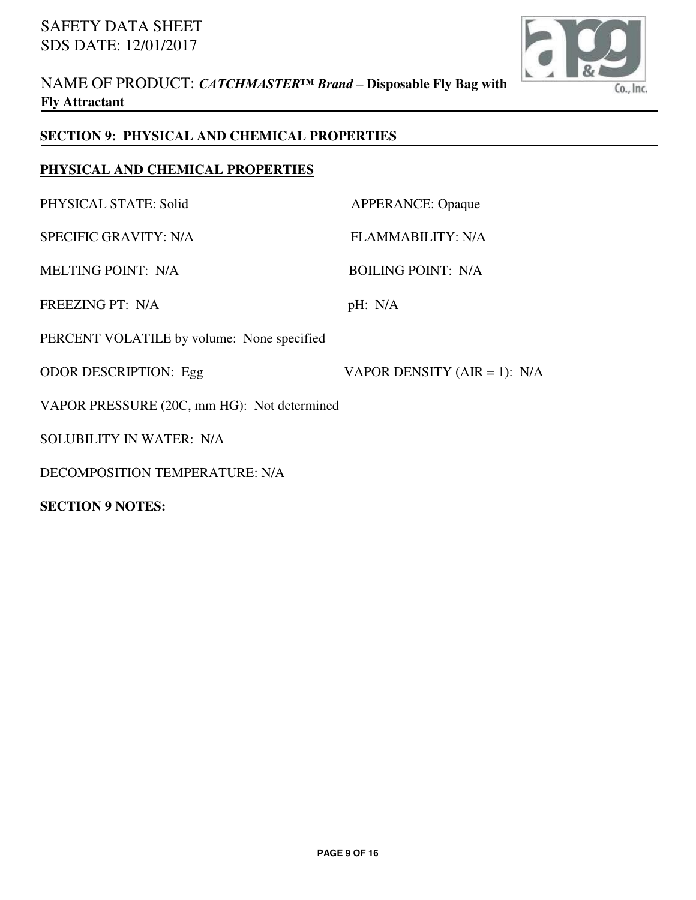

## **SECTION 9: PHYSICAL AND CHEMICAL PROPERTIES**

## **PHYSICAL AND CHEMICAL PROPERTIES**

| PHYSICAL STATE: Solid                       | <b>APPERANCE: Opaque</b>       |
|---------------------------------------------|--------------------------------|
| <b>SPECIFIC GRAVITY: N/A</b>                | <b>FLAMMABILITY: N/A</b>       |
| <b>MELTING POINT: N/A</b>                   | <b>BOILING POINT: N/A</b>      |
| <b>FREEZING PT: N/A</b>                     | pH: N/A                        |
| PERCENT VOLATILE by volume: None specified  |                                |
| <b>ODOR DESCRIPTION: Egg</b>                | VAPOR DENSITY (AIR = 1): $N/A$ |
| VAPOR PRESSURE (20C, mm HG): Not determined |                                |
| SOLUBILITY IN WATER: N/A                    |                                |
| DECOMPOSITION TEMPERATURE: N/A              |                                |

**SECTION 9 NOTES:**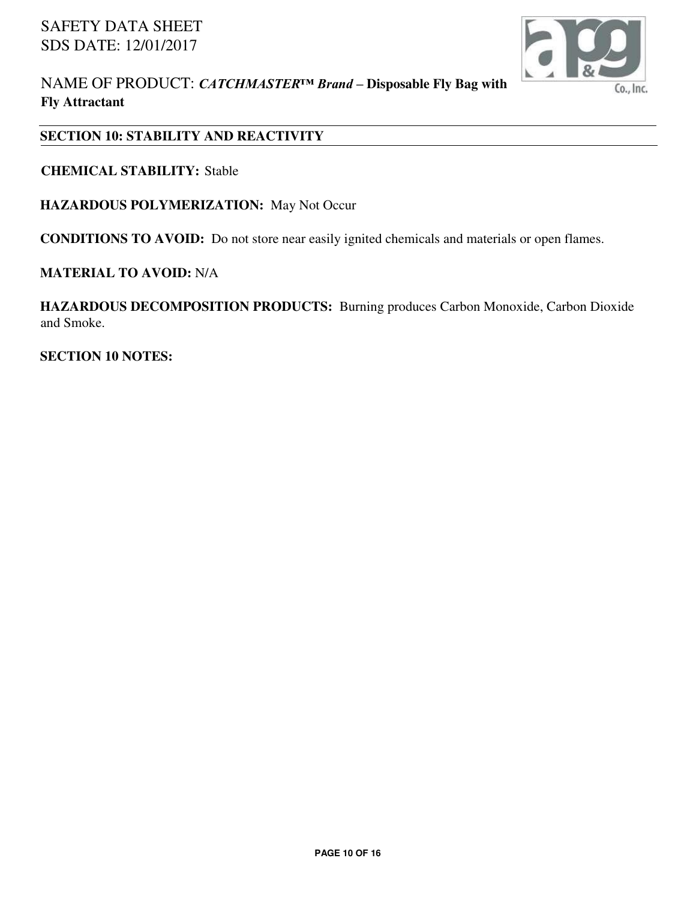

NAME OF PRODUCT: *CATCHMASTER™ Brand –* **Disposable Fly Bag with Fly Attractant**

## **SECTION 10: STABILITY AND REACTIVITY**

**CHEMICAL STABILITY:** Stable

**HAZARDOUS POLYMERIZATION:** May Not Occur

**CONDITIONS TO AVOID:** Do not store near easily ignited chemicals and materials or open flames.

#### **MATERIAL TO AVOID:** N/A

**HAZARDOUS DECOMPOSITION PRODUCTS:** Burning produces Carbon Monoxide, Carbon Dioxide and Smoke.

**SECTION 10 NOTES:**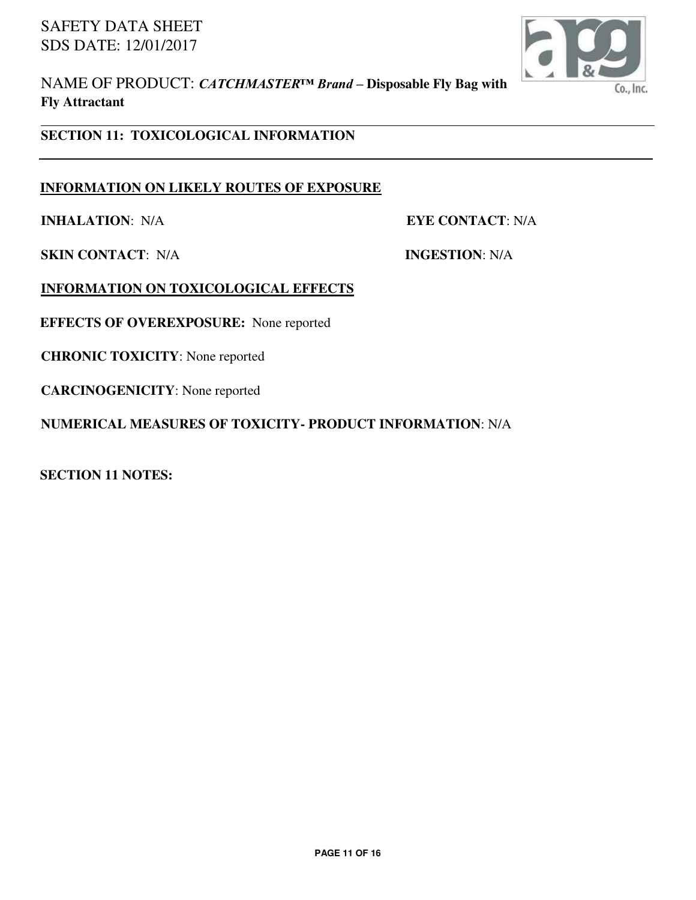

NAME OF PRODUCT: *CATCHMASTER™ Brand –* **Disposable Fly Bag with Fly Attractant**

## **SECTION 11: TOXICOLOGICAL INFORMATION**

#### **INFORMATION ON LIKELY ROUTES OF EXPOSURE**

**INHALATION**: N/A **EYE CONTACT**: N/A

**SKIN CONTACT**: N/A **INGESTION**: N/A

**INFORMATION ON TOXICOLOGICAL EFFECTS** 

**EFFECTS OF OVEREXPOSURE:** None reported

**CHRONIC TOXICITY**: None reported

**CARCINOGENICITY**: None reported

**NUMERICAL MEASURES OF TOXICITY- PRODUCT INFORMATION**: N/A

**SECTION 11 NOTES:**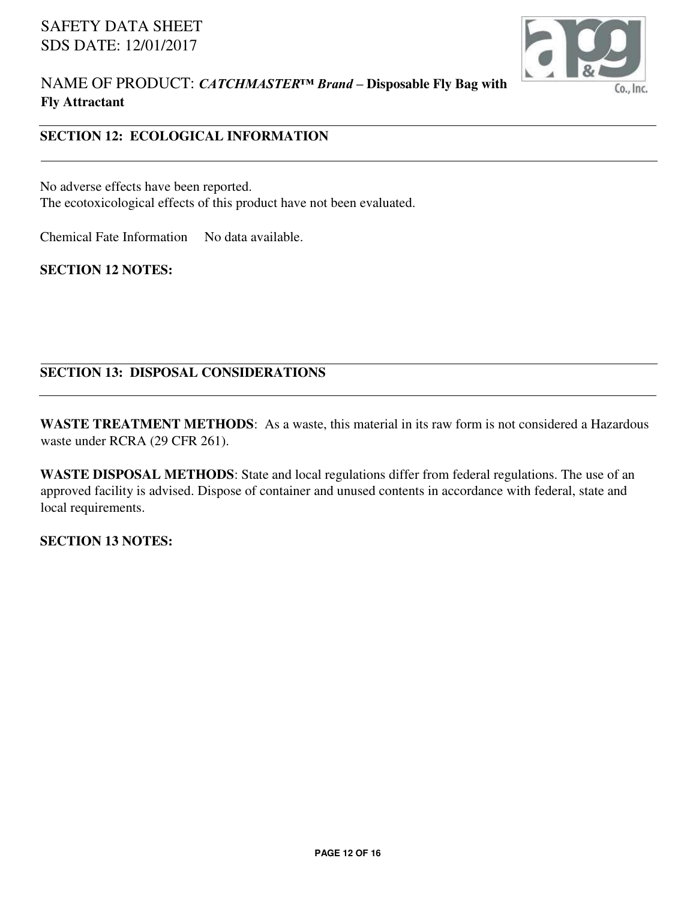

## **SECTION 12: ECOLOGICAL INFORMATION**

No adverse effects have been reported. The ecotoxicological effects of this product have not been evaluated.

Chemical Fate Information No data available.

**SECTION 12 NOTES:** 

# **SECTION 13: DISPOSAL CONSIDERATIONS**

**WASTE TREATMENT METHODS**: As a waste, this material in its raw form is not considered a Hazardous waste under RCRA (29 CFR 261).

**WASTE DISPOSAL METHODS**: State and local regulations differ from federal regulations. The use of an approved facility is advised. Dispose of container and unused contents in accordance with federal, state and local requirements.

**SECTION 13 NOTES:**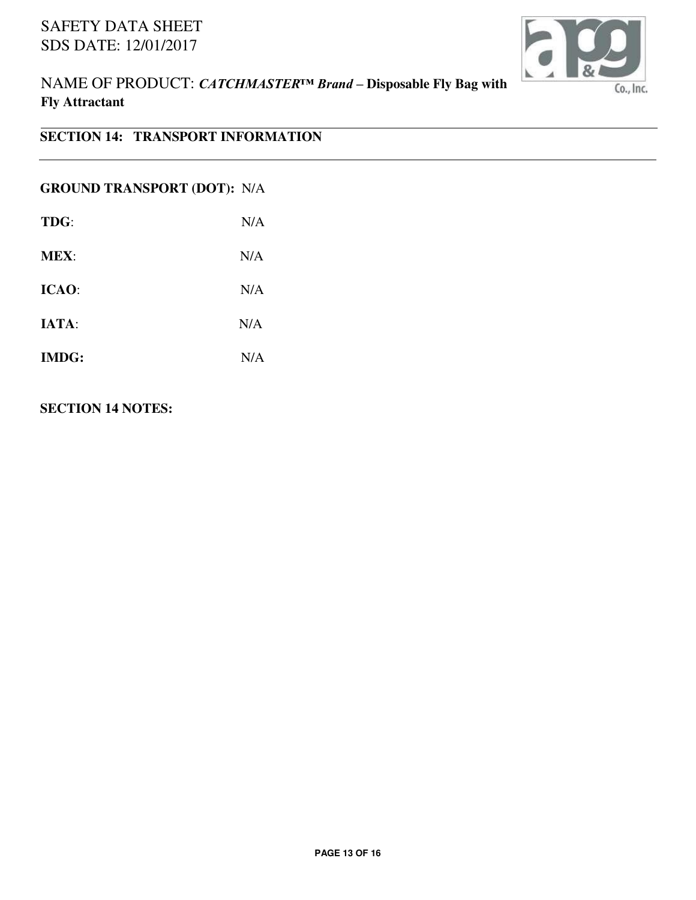

NAME OF PRODUCT: *CATCHMASTER™ Brand –* **Disposable Fly Bag with Fly Attractant**

# **SECTION 14: TRANSPORT INFORMATION**

## **GROUND TRANSPORT (DOT):** N/A

| TDG:         | N/A |
|--------------|-----|
| <b>MEX:</b>  | N/A |
| ICAO:        | N/A |
| IATA:        | N/A |
| <b>IMDG:</b> | N/A |

## **SECTION 14 NOTES:**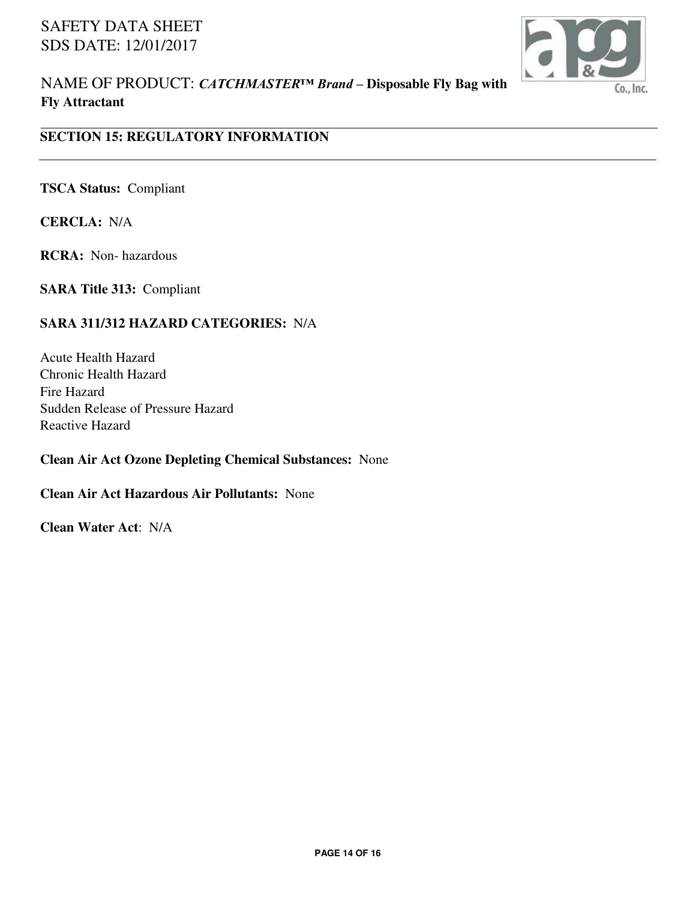

NAME OF PRODUCT: *CATCHMASTER™ Brand –* **Disposable Fly Bag with Fly Attractant**

## **SECTION 15: REGULATORY INFORMATION**

**TSCA Status:** Compliant

**CERCLA:** N/A

**RCRA:** Non- hazardous

**SARA Title 313:** Compliant

#### **SARA 311/312 HAZARD CATEGORIES:** N/A

Acute Health Hazard Chronic Health Hazard Fire Hazard Sudden Release of Pressure Hazard Reactive Hazard

#### **Clean Air Act Ozone Depleting Chemical Substances:** None

#### **Clean Air Act Hazardous Air Pollutants:** None

**Clean Water Act**: N/A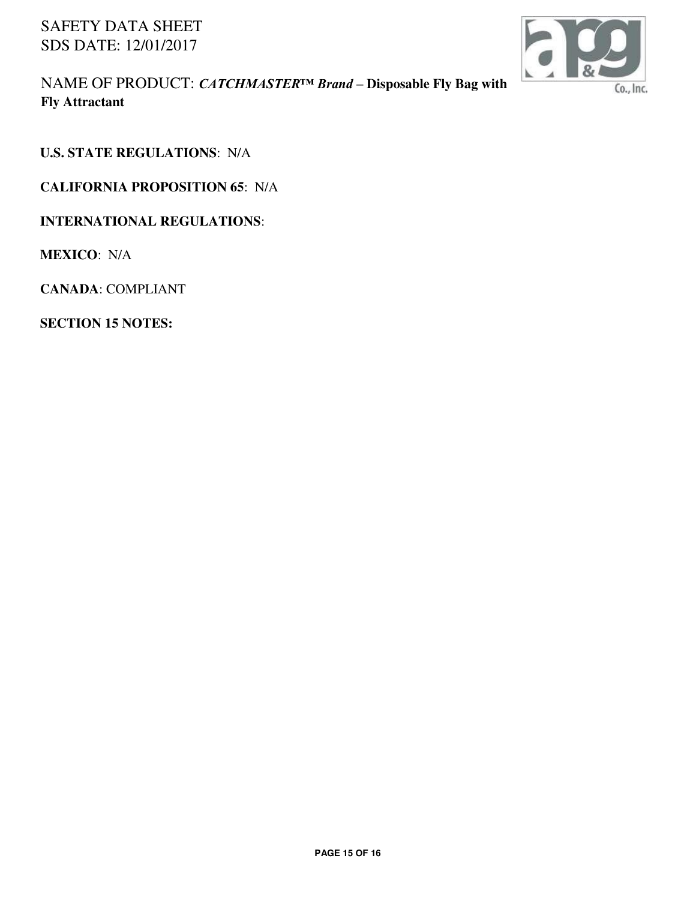

NAME OF PRODUCT: *CATCHMASTER™ Brand –* **Disposable Fly Bag with Fly Attractant**

**U.S. STATE REGULATIONS**: N/A

**CALIFORNIA PROPOSITION 65**: N/A

**INTERNATIONAL REGULATIONS**:

**MEXICO**: N/A

**CANADA**: COMPLIANT

**SECTION 15 NOTES:**